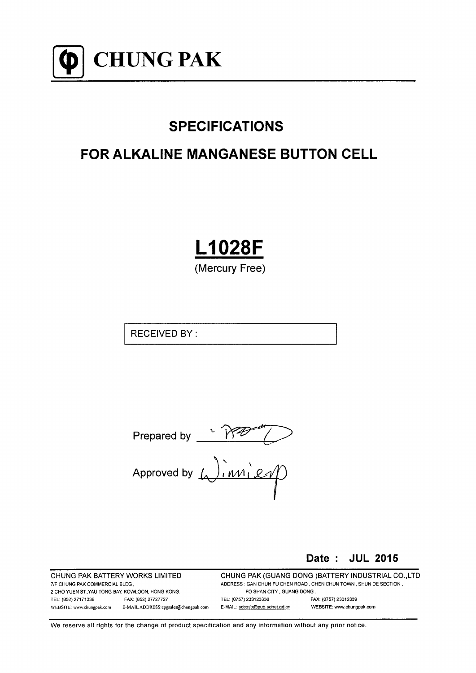

# **SPECIFICATIONS**

# **FOR ALKALINE MANGANESE BUTTON CELL**

**L1028F** 

(Mercury Free)

**RECEIVED BY:** 

Date: JUL 2015

CHUNG PAK BATTERY WORKS LIMITED 7/F CHUNG PAK COMMERCIAL BLDG. 2 CHO YUEN ST. YAU TONG BAY, KOWLOON, HONG KONG. TEL: (852) 27171338 FAX: (852) 27727727 WEBSITE: www.chungpak.com E-MAIL ADDRESS: cpgsales@chungpak.com CHUNG PAK (GUANG DONG) BATTERY INDUSTRIAL CO., LTD ADDRESS : GAN CHUN FU CHEN ROAD, CHEN CHUN TOWN, SHUN DE SECTION, FO SHAN CITY . GUANG DONG. TEL: (0757) 233123338 FAX: (0757) 23312339 E-MAIL: sdcpsb@pub.sdnet.gd.cn WEBSITE: www.chungpak.com

We reserve all rights for the change of product specification and any information without any prior notice.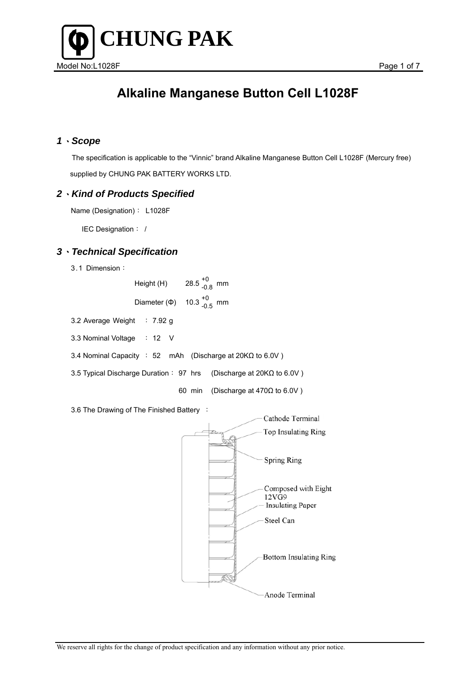

### *1*、*Scope*

 The specification is applicable to the "Vinnic" brand Alkaline Manganese Button Cell L1028F (Mercury free) supplied by CHUNG PAK BATTERY WORKS LTD.

#### *2*、*Kind of Products Specified*

Name (Designation): L1028F

IEC Designation: /

### *3*、*Technical Specification*

3.1 Dimension:

| Height (H)        | 28.5 $^{+0}_{-0.8}$ mm |  |
|-------------------|------------------------|--|
| Diameter $(\Phi)$ | 10.3 $^{+0}_{-0.5}$ mm |  |

3.2 Average Weight : 7.92 g

3.3 Nominal Voltage : 12 V

3.4 Nominal Capacity : 52 mAh (Discharge at 20KΩ to 6.0V )

3.5 Typical Discharge Duration: 97 hrs (Discharge at 20KΩ to 6.0V )

60 min (Discharge at 470Ω to 6.0V )

3.6 The Drawing of The Finished Battery :

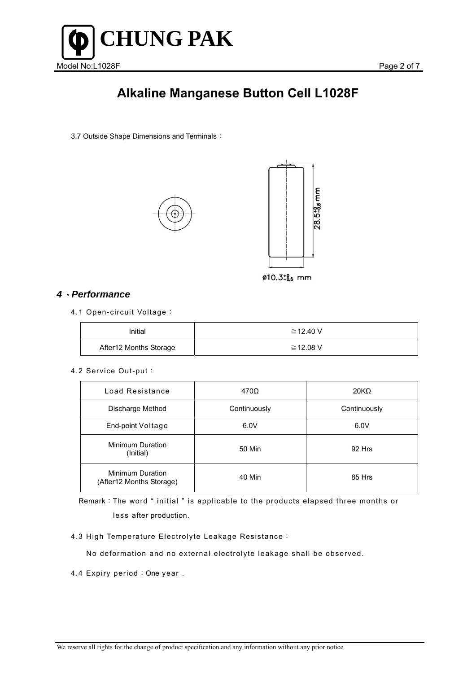

3.7 Outside Shape Dimensions and Terminals:





### *4*、*Performance*

4.1 Open-circuit Voltage:

| Initial                | ≧12.40 V |
|------------------------|----------|
| After12 Months Storage | ≧12.08 V |

#### 4.2 Service Out-put:

| Load Resistance                               | $470\Omega$  | 20K <sub>Ω</sub> |
|-----------------------------------------------|--------------|------------------|
| Discharge Method                              | Continuously | Continuously     |
| End-point Voltage                             | 6.0V         | 6.0V             |
| <b>Minimum Duration</b><br>(Initial)          | 50 Min       | 92 Hrs           |
| Minimum Duration<br>(After 12 Months Storage) | 40 Min       | 85 Hrs           |

Remark:The word " initial " is applicable to the products elapsed three months or less after production.

4.3 High Temperature Electrolyte Leakage Resistance:

No deformation and no external electrolyte leakage shall be observed.

4.4 Expiry period: One year.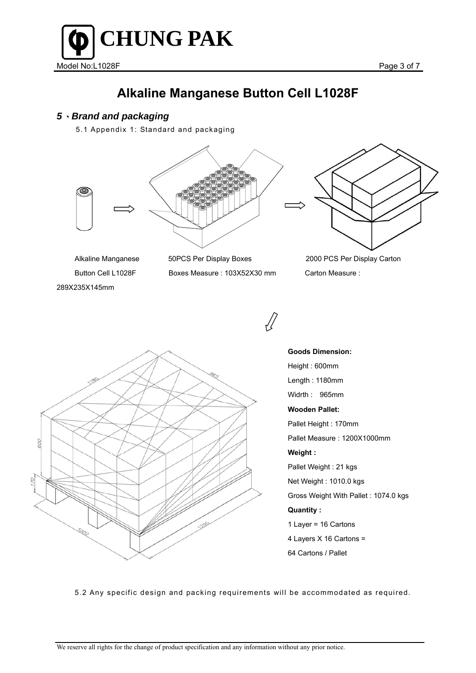

### *5*、*Brand and packaging*

5.1 Appendix 1: Standard and packaging



289Χ235Χ145mm

Alkaline Manganese 50PCS Per Display Boxes 2000 PCS Per Display Carton Button Cell L1028F Boxes Measure : 103Χ52Χ30 mm Carton Measure :



**Goods Dimension:**  Height : 600mm Length : 1180mm Widrth : 965mm **Wooden Pallet:**  Pallet Height : 170mm Pallet Measure : 1200Χ1000mm **Weight :**  Pallet Weight : 21 kgs Net Weight : 1010.0 kgs Gross Weight With Pallet : 1074.0 kgs **Quantity :**  1 Layer = 16 Cartons 4 Layers Χ 16 Cartons = 64 Cartons / Pallet

5.2 Any specific design and packing requirements will be accommodated as required.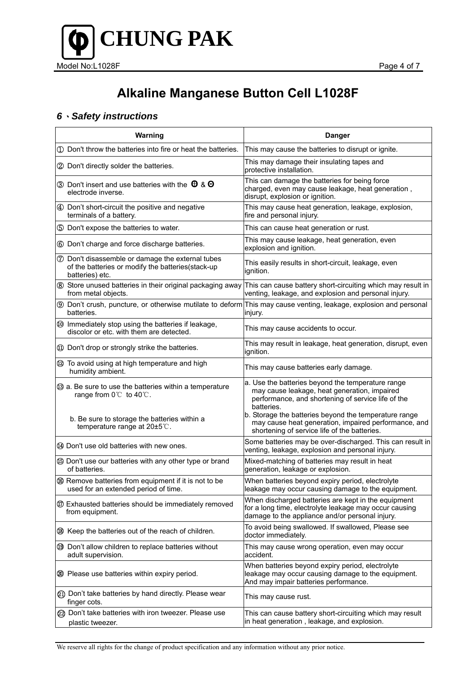

### *6*、*Safety instructions*

| Warning                                                                                                                                                               | <b>Danger</b>                                                                                                                                                                                                                                                                                                                          |  |
|-----------------------------------------------------------------------------------------------------------------------------------------------------------------------|----------------------------------------------------------------------------------------------------------------------------------------------------------------------------------------------------------------------------------------------------------------------------------------------------------------------------------------|--|
| 1 Don't throw the batteries into fire or heat the batteries.                                                                                                          | This may cause the batteries to disrupt or ignite.                                                                                                                                                                                                                                                                                     |  |
| 2 Don't directly solder the batteries.                                                                                                                                | This may damage their insulating tapes and<br>protective installation.                                                                                                                                                                                                                                                                 |  |
| 3 Don't insert and use batteries with the $\theta$ & $\Theta$<br>electrode inverse.                                                                                   | This can damage the batteries for being force<br>charged, even may cause leakage, heat generation,<br>disrupt, explosion or ignition.                                                                                                                                                                                                  |  |
| 4 Don't short-circuit the positive and negative<br>terminals of a battery.                                                                                            | This may cause heat generation, leakage, explosion,<br>fire and personal injury.                                                                                                                                                                                                                                                       |  |
| 5 Don't expose the batteries to water.                                                                                                                                | This can cause heat generation or rust.                                                                                                                                                                                                                                                                                                |  |
| 6 Don't charge and force discharge batteries.                                                                                                                         | This may cause leakage, heat generation, even<br>explosion and ignition.                                                                                                                                                                                                                                                               |  |
| <b>7</b> Don't disassemble or damage the external tubes<br>of the batteries or modify the batteries(stack-up<br>batteries) etc.                                       | This easily results in short-circuit, leakage, even<br>ignition.                                                                                                                                                                                                                                                                       |  |
| 8 Store unused batteries in their original packaging away<br>from metal objects.                                                                                      | This can cause battery short-circuiting which may result in<br>venting, leakage, and explosion and personal injury.                                                                                                                                                                                                                    |  |
| batteries.                                                                                                                                                            | <sup>9</sup> Don't crush, puncture, or otherwise mutilate to deform This may cause venting, leakage, explosion and personal<br>injury.                                                                                                                                                                                                 |  |
| 10 Immediately stop using the batteries if leakage,<br>discolor or etc. with them are detected.                                                                       | This may cause accidents to occur.                                                                                                                                                                                                                                                                                                     |  |
| 10 Don't drop or strongly strike the batteries.                                                                                                                       | This may result in leakage, heat generation, disrupt, even<br>ignition.                                                                                                                                                                                                                                                                |  |
| 12 To avoid using at high temperature and high<br>humidity ambient.                                                                                                   | This may cause batteries early damage.                                                                                                                                                                                                                                                                                                 |  |
| <b>3</b> a. Be sure to use the batteries within a temperature<br>range from 0℃ to 40℃.<br>b. Be sure to storage the batteries within a<br>temperature range at 20±5℃. | a. Use the batteries beyond the temperature range<br>may cause leakage, heat generation, impaired<br>performance, and shortening of service life of the<br>batteries.<br>b. Storage the batteries beyond the temperature range<br>may cause heat generation, impaired performance, and<br>shortening of service life of the batteries. |  |
| 44 Don't use old batteries with new ones.                                                                                                                             | Some batteries may be over-discharged. This can result in<br>venting, leakage, explosion and personal injury.                                                                                                                                                                                                                          |  |
| <b>5</b> Don't use our batteries with any other type or brand<br>of batteries.                                                                                        | Mixed-matching of batteries may result in heat<br>generation, leakage or explosion.                                                                                                                                                                                                                                                    |  |
| <b>66</b> Remove batteries from equipment if it is not to be<br>used for an extended period of time.                                                                  | When batteries beyond expiry period, electrolyte<br>leakage may occur causing damage to the equipment.                                                                                                                                                                                                                                 |  |
| 10 Exhausted batteries should be immediately removed<br>from equipment.                                                                                               | When discharged batteries are kept in the equipment<br>for a long time, electrolyte leakage may occur causing<br>damage to the appliance and/or personal injury.                                                                                                                                                                       |  |
| ® Keep the batteries out of the reach of children.                                                                                                                    | To avoid being swallowed. If swallowed, Please see<br>doctor immediately.                                                                                                                                                                                                                                                              |  |
| 19 Don't allow children to replace batteries without<br>adult supervision.                                                                                            | This may cause wrong operation, even may occur<br>accident.                                                                                                                                                                                                                                                                            |  |
| 20 Please use batteries within expiry period.                                                                                                                         | When batteries beyond expiry period, electrolyte<br>leakage may occur causing damage to the equipment.<br>And may impair batteries performance.                                                                                                                                                                                        |  |
| 21) Don't take batteries by hand directly. Please wear<br>finger cots.                                                                                                | This may cause rust.                                                                                                                                                                                                                                                                                                                   |  |
| 22 Don't take batteries with iron tweezer. Please use<br>plastic tweezer.                                                                                             | This can cause battery short-circuiting which may result<br>in heat generation, leakage, and explosion.                                                                                                                                                                                                                                |  |

We reserve all rights for the change of product specification and any information without any prior notice.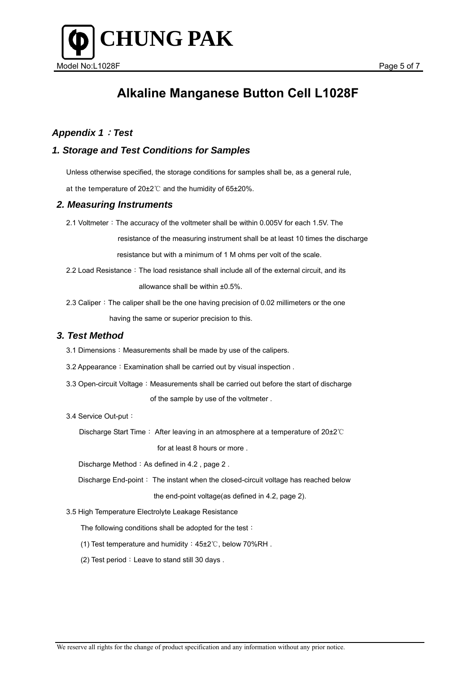

### *Appendix 1*:*Test*

### *1. Storage and Test Conditions for Samples*

Unless otherwise specified, the storage conditions for samples shall be, as a general rule,

at the temperature of 20±2℃ and the humidity of 65±20%.

#### *2. Measuring Instruments*

2.1 Voltmeter: The accuracy of the voltmeter shall be within 0.005V for each 1.5V. The

 resistance of the measuring instrument shall be at least 10 times the discharge resistance but with a minimum of 1 M ohms per volt of the scale.

2.2 Load Resistance: The load resistance shall include all of the external circuit, and its

allowance shall be within ±0.5%.

2.3 Caliper: The caliper shall be the one having precision of 0.02 millimeters or the one having the same or superior precision to this.

#### *3. Test Method*

- 3.1 Dimensions: Measurements shall be made by use of the calipers.
- 3.2 Appearance: Examination shall be carried out by visual inspection.
- 3.3 Open-circuit Voltage: Measurements shall be carried out before the start of discharge of the sample by use of the voltmeter .
- 3.4 Service Out-put:

Discharge Start Time: After leaving in an atmosphere at a temperature of 20±2℃

for at least 8 hours or more .

Discharge Method: As defined in 4.2, page 2.

Discharge End-point: The instant when the closed-circuit voltage has reached below

the end-point voltage(as defined in 4.2, page 2).

3.5 High Temperature Electrolyte Leakage Resistance

The following conditions shall be adopted for the test:

- (1) Test temperature and humidity:45±2℃, below 70%RH .
- (2) Test period: Leave to stand still 30 days.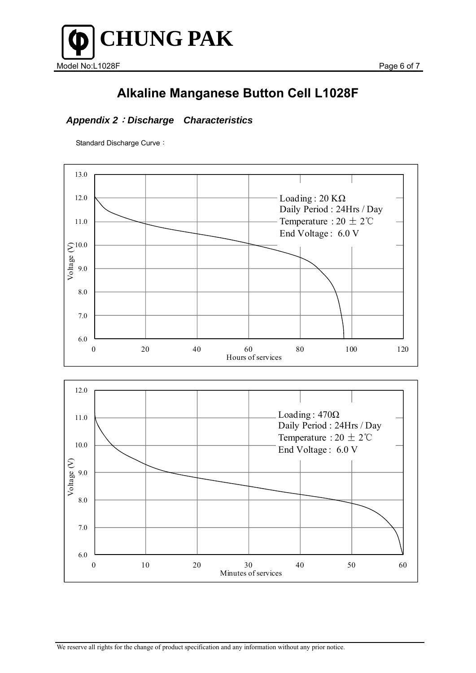

### *Appendix 2*:*Discharge Characteristics*

Standard Discharge Curve: